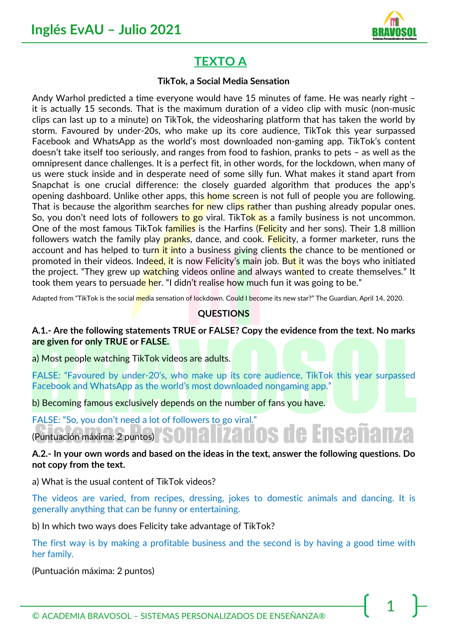

# **TEXTO A**

#### **TikTok, a Social Media Sensation**

Andy Warhol predicted a time everyone would have 15 minutes of fame. He was nearly right – it is actually 15 seconds. That is the maximum duration of a video clip with music (non-music clips can last up to a minute) on TikTok, the videosharing platform that has taken the world by storm. Favoured by under-20s, who make up its core audience, TikTok this year surpassed Facebook and WhatsApp as the world's most downloaded non-gaming app. TikTok's content doesn't take itself too seriously, and ranges from food to fashion, pranks to pets – as well as the omnipresent dance challenges. It is a perfect fit, in other words, for the lockdown, when many of us were stuck inside and in desperate need of some silly fun. What makes it stand apart from Snapchat is one crucial difference: the closely guarded algorithm that produces the app's opening dashboard. Unlike other apps, this home screen is not full of people you are following. That is because the algorithm searches for new clips rather than pushing already popular ones. So, you don't need lots of followers to go viral. TikTok as a family business is not uncommon. One of the most famous TikTok families is the Harfins (Felicity and her sons). Their 1.8 million followers watch the family play pranks, dance, and cook. Felicity, a former marketer, runs the account and has helped to turn it into a business giving clients the chance to be mentioned or promoted in their videos. Indeed, it is now Felicity's main job. But it was the boys who initiated the project. "They grew up watching videos online and always wanted to create themselves." It took them years to persuade her. "I didn't realise how much fun it was going to be."

Adapted from "TikTok is the social media sensation of lockdown. Could I become its new star?" The Guardian, April 14, 2020.

## **QUESTIONS**

**A.1.- Are the following statements TRUE or FALSE? Copy the evidence from the text. No marks are given for only TRUE or FALSE.** 

a) Most people watching TikTok videos are adults.

FALSE: "Favoured by under-20's, who make up its core audience, TikTok this year surpassed Facebook and WhatsApp as the world's most downloaded nongaming app."

b) Becoming famous exclusively depends on the number of fans you have.

FALSE: "So, you don't need a lot of followers to go viral."

(Puntuación máxima: 2 puntos)

### **A.2.- In your own words and based on the ideas in the text, answer the following questions. Do not copy from the text.**

a) What is the usual content of TikTok videos?

The videos are varied, from recipes, dressing, jokes to domestic animals and dancing. It is generally anything that can be funny or entertaining.

b) In which two ways does Felicity take advantage of TikTok?

The first way is by making a profitable business and the second is by having a good time with her family.

(Puntuación máxima: 2 puntos)

© ACADEMIA BRAVOSOL – SISTEMAS PERSONALIZADOS DE ENSEÑANZA®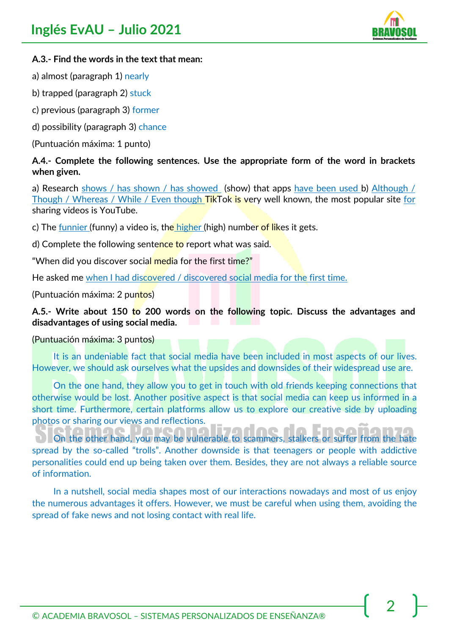

### **A.3.- Find the words in the text that mean:**

- a) almost (paragraph 1) nearly
- b) trapped (paragraph 2) stuck
- c) previous (paragraph 3) former
- d) possibility (paragraph 3) chance
- (Puntuación máxima: 1 punto)

### **A.4.- Complete the following sentences. Use the appropriate form of the word in brackets when given.**

a) Research shows / has shown / has showed (show) that apps have been used b) Although / Though / Whereas / While / Even though TikTok is very well known, the most popular site for sharing videos is YouTube.

c) The funnier (funny) a video is, the higher (high) number of likes it gets.

d) Complete the following sentence to report what was said.

"When did you discover social media for the first time?"

He asked me when I had discovered / discovered social media for the first time.

(Puntuación máxima: 2 puntos)

### **A.5.- Write about 150 to 200 words on the following topic. Discuss the advantages and disadvantages of using social media.**

(Puntuación máxima: 3 puntos)

It is an undeniable fact that social media have been included in most aspects of our lives. However, we should ask ourselves what the upsides and downsides of their widespread use are.

On the one hand, they allow you to get in touch with old friends keeping connections that otherwise would be lost. Another positive aspect is that social media can keep us informed in a short time. Furthermore, certain platforms allow us to explore our creative side by uploading photos or sharing our views and reflections. Esodon.

On the other hand, you may be vulnerable to scammers, stalkers or suffer from the hate spread by the so-called "trolls". Another downside is that teenagers or people with addictive personalities could end up being taken over them. Besides, they are not always a reliable source of information.

In a nutshell, social media shapes most of our interactions nowadays and most of us enjoy the numerous advantages it offers. However, we must be careful when using them, avoiding the spread of fake news and not losing contact with real life.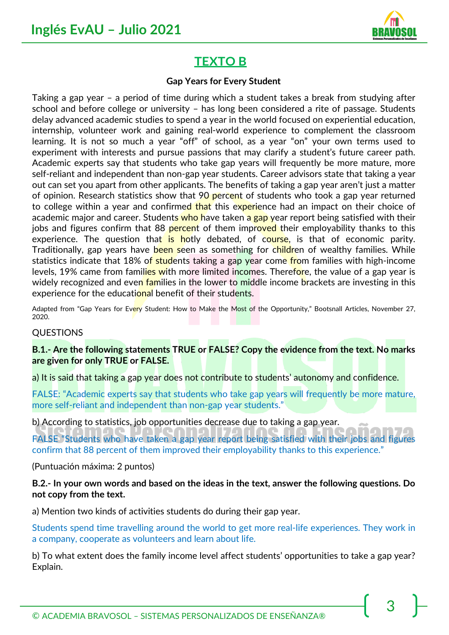

# **TEXTO B**

#### **Gap Years for Every Student**

Taking a gap year – a period of time during which a student takes a break from studying after school and before college or university – has long been considered a rite of passage. Students delay advanced academic studies to spend a year in the world focused on experiential education, internship, volunteer work and gaining real-world experience to complement the classroom learning. It is not so much a year "off" of school, as a year "on" your own terms used to experiment with interests and pursue passions that may clarify a student's future career path. Academic experts say that students who take gap years will frequently be more mature, more self-reliant and independent than non-gap year students. Career advisors state that taking a year out can set you apart from other applicants. The benefits of taking a gap year aren't just a matter of opinion. Research statistics show that 90 percent of students who took a gap year returned to college within a year and confirmed that this experience had an impact on their choice of academic major and career. Students who have taken a gap year report being satisfied with their jobs and figures confirm that 88 percent of them improved their employability thanks to this experience. The question that is hotly debated, of course, is that of economic parity. Traditionally, gap years have been seen as something for children of wealthy families. While statistics indicate that 18% of students taking a gap year come from families with high-income levels, 19% came from families with more limited incomes. Therefore, the value of a gap year is widely recognized and even families in the lower to middle income brackets are investing in this experience for the educational benefit of their students.

Adapted from "Gap Years for Every Student: How to Make the Most of the Opportunity," Bootsnall Articles, November 27, 2020.

#### QUESTIONS

**B.1.- Are the following statements TRUE or FALSE? Copy the evidence from the text. No marks are given for only TRUE or FALSE.** 

a) It is said that taking a gap year does not contribute to students' autonomy and confidence.

FALSE: "Academic experts say that students who take gap years will frequently be more mature, more self-reliant and independent than non-gap year students."

b) According to statistics, job opportunities decrease due to taking a gap year.

FALSE "Students who have taken a gap year report being satisfied with their jobs and figures confirm that 88 percent of them improved their employability thanks to this experience."

(Puntuación máxima: 2 puntos)

**B.2.- In your own words and based on the ideas in the text, answer the following questions. Do not copy from the text.** 

a) Mention two kinds of activities students do during their gap year.

Students spend time travelling around the world to get more real-life experiences. They work in a company, cooperate as volunteers and learn about life.

b) To what extent does the family income level affect students' opportunities to take a gap year? Explain.